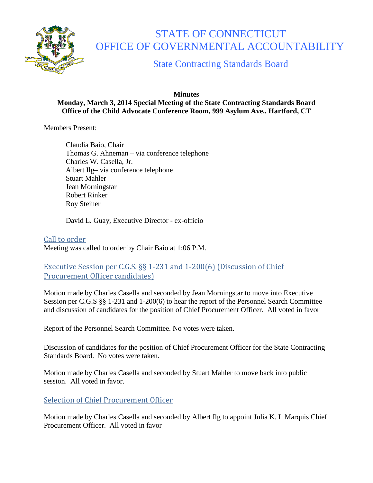

# STATE OF CONNECTICUT OFFICE OF GOVERNMENTAL ACCOUNTABILITY

# State Contracting Standards Board

#### **Minutes Monday, March 3, 2014 Special Meeting of the State Contracting Standards Board Office of the Child Advocate Conference Room, 999 Asylum Ave., Hartford, CT**

Members Present:

Claudia Baio, Chair Thomas G. Ahneman – via conference telephone Charles W. Casella, Jr. Albert Ilg– via conference telephone Stuart Mahler Jean Morningstar Robert Rinker Roy Steiner

David L. Guay, Executive Director - ex-officio

Call to order Meeting was called to order by Chair Baio at 1:06 P.M.

#### Executive Session per C.G.S. §§ 1-231 and 1-200(6) (Discussion of Chief Procurement Officer candidates)

Motion made by Charles Casella and seconded by Jean Morningstar to move into Executive Session per C.G.S §§ 1-231 and 1-200(6) to hear the report of the Personnel Search Committee and discussion of candidates for the position of Chief Procurement Officer. All voted in favor

Report of the Personnel Search Committee. No votes were taken.

Discussion of candidates for the position of Chief Procurement Officer for the State Contracting Standards Board. No votes were taken.

Motion made by Charles Casella and seconded by Stuart Mahler to move back into public session. All voted in favor.

### Selection of Chief Procurement Officer

Motion made by Charles Casella and seconded by Albert Ilg to appoint Julia K. L Marquis Chief Procurement Officer. All voted in favor